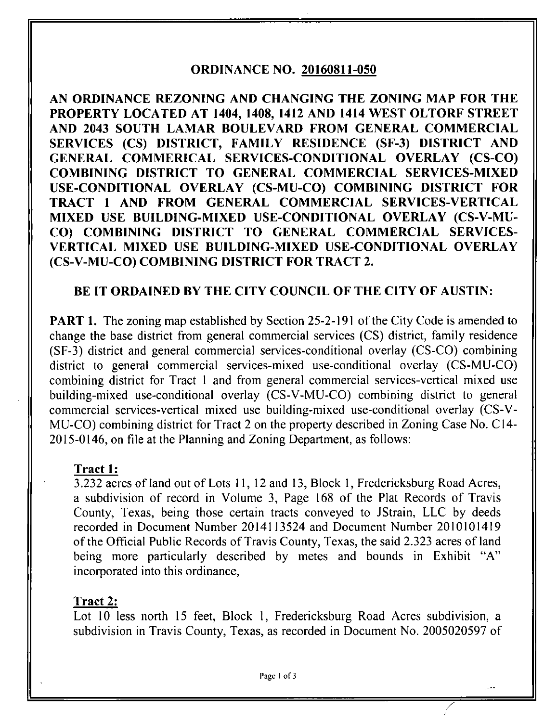### **ORDINANCE NO. 20160811-050**

**AN ORDINANCE REZONING AND CHANGING THE ZONING MAP FOR THE PROPERTY LOCATED AT 1404, 1408, 1412 AND 1414 WEST OLTORF STREET AND 2043 SOUTH LAMAR BOULEVARD FROM GENERAL COMMERCIAL SERVICES (CS) DISTRICT, FAMILY RESIDENCE (SF-3) DISTRICT AND GENERAL COMMERICAL SERVICES-CONDITIONAL OVERLAY (CS-CO) COMBINING DISTRICT TO GENERAL COMMERCIAL SERVICES-MIXED USE-CONDITIONAL OVERLAY (CS-MU-CO) COMBINING DISTRICT FOR TRACT 1 AND FROM GENERAL COMMERCIAL SERVICES-VERTICAL MIXED USE BUILDING-MIXED USE-CONDITIONAL OVERLAY (CS-V-MU-CO) COMBINING DISTRICT TO GENERAL COMMERCIAL SERVICES-VERTICAL MIXED USE BUILDING-MIXED USE-CONDITIONAL OVERLAY (CS-V-MU-CO) COMBINING DISTRICT FOR TRACT 2.** 

# **BE IT ORDAINED BY THE CITY COUNCIL OF THE CITY OF AUSTIN:**

PART 1. The zoning map established by Section 25-2-191 of the City Code is amended to change the base district from general commercial services (CS) district, family residence (SF-3) district and general commercial services-conditional overiay (CS-CO) combining district to general commercial services-mixed use-conditional overlay (CS-MU-CO) combining district for Tract 1 and from general commercial services-vertical mixed use building-mixed use-conditional overiay (CS-V-MU-CO) combining district to general commercial services-vertical mixed use building-mixed use-conditional overlay (CS-V-MU-CO) combining district for Tract 2 on the property described in Zoning Case No. C14- 2015-0146, on file at the Planning and Zoning Department, as follows:

# **Tract 1:**

3.232 acres of land out of Lots 11,12 and 13, Block 1, Fredericksburg Road Acres, a subdivision of record in Volume 3, Page 168 of the Plat Records of Travis County, Texas, being those certain tracts conveyed to JStrain, LLC by deeds recorded in Document Number 2014113524 and Document Number 2010101419 of the Official Public Records of Travis County, Texas, the said 2.323 acres of land being more particularly described by metes and bounds in Exhibit "A" incorporated into this ordinance.

### Tract 2:

Lot 10 less north 15 feet. Block 1, Fredericksburg Road Acres subdivision, a subdivision in Travis County, Texas, as recorded in Document No. 2005020597 of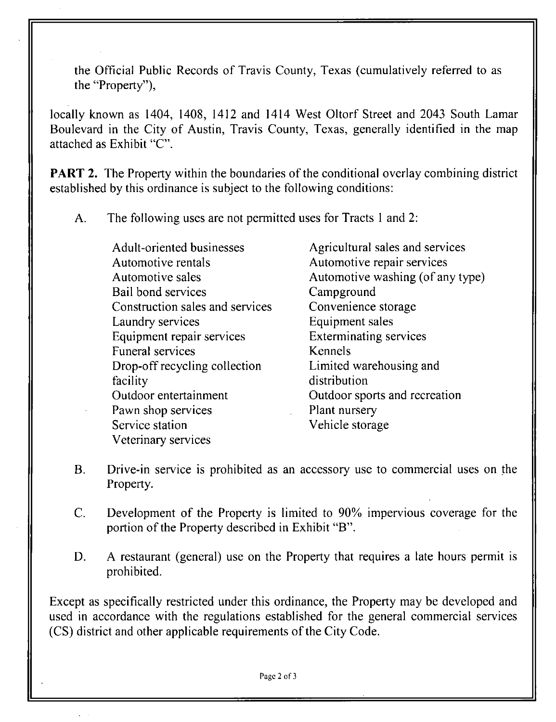the Official Public Records of Travis County, Texas (cumulatively referred to as the "Property"),

locally known as 1404, 1408, 1412 and 1414 West Oltorf Street and 2043 South Lamar Boulevard in the City of Austin, Travis County, Texas, generally identified in the map attached as Exhibit "C".

**PART 2.** The Property within the boundaries of the conditional overlay combining district established by this ordinance is subject to the following conditions:

A. The following uses are not permitted uses for Tracts 1 and 2:

Adult-oriented businesses Automotive rentals Automotive sales Bail bond services Construction sales and services Laundry services Equipment repair services Funeral services Drop-off recycling collection facility Outdoor entertainment Pawn shop services Service station Veterinary services Agricultural sales and services Automotive repair services Automotive washing (of any type) Campground Convenience storage Equipment sales Exterminating services Kennels Limited warehousing and distribution Outdoor sports and recreation Plant nursery Vehicle storage

- B. Drive-in service is prohibited as an accessory use to commercial uses on the Property.
- C. Development of the Property is limited to 90% impervious coverage for the portion of the Property described in Exhibit "B".
- D. A restaurant (general) use on the Property that requires a late hours permit is prohibited.

Except as specifically restricted under this ordinance, the Property may be developed and used in accordance with the regulations established for the general commercial services (CS) district and other applicable requirements of the City Code.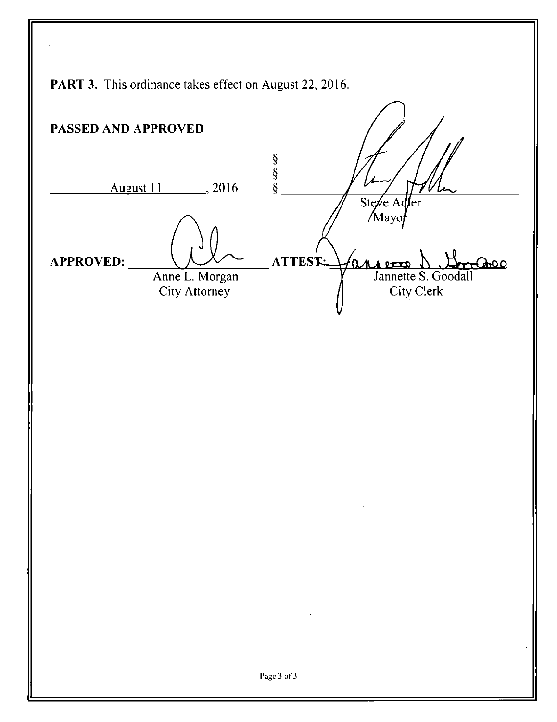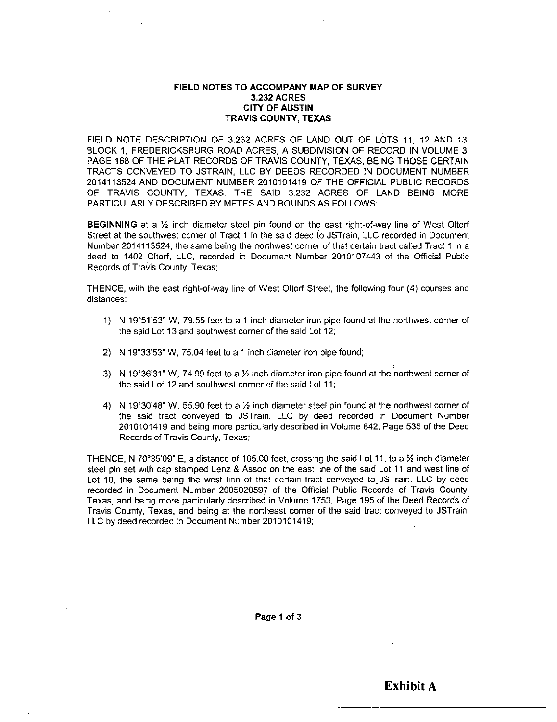#### **FIELD NOTES TO ACCOMPANY MAP OF SURVEY 3.232 ACRES CITY OF AUSTIN TRAVIS COUNTY, TEXAS**

FIELD NOTE DESCRIPTION OF 3.232 ACRES OF LAND OUT OF LOTS 11, 12 AND 13, BLOCK 1, FREDERICKSBURG ROAD ACRES, A SUBDIVISION OF RECORD IN VOLUME 3, PAGE 168 OF THE PLAT RECORDS OF TRAVIS COUNTY, TEXAS, BEING THOSE CERTAIN TRACTS CONVEYED TO JSTRAIN, LLC BY DEEDS RECORDED IN DOCUMENT NUMBER 2014113524 AND DOCUMENT NUMBER 2010101419 OF THE OFFICIAL PUBLIC RECORDS OF TRAVIS COUNTY, TEXAS. THE SAID 3.232 ACRES OF LAND BEING MORE PARTICULARLY DESCRIBED BY METES AND BOUNDS AS FOLLOWS:

**BEGINNING** at a  $\frac{1}{2}$  inch diameter steel pin found on the east right-of-way line of West Oltorf Street at the southwest corner of Tract 1 in the said deed to JSTrain, LLC recorded in Document Number 2014113524, the same being the northwest corner of that certain tract called Tract 1 in a deed to 1402 Oltorf, LLC, recorded in Document Number 2010107443 of the Official Public Records of Travis County, Texas;

THENCE, with the east right-of-way line of West Oltorf Street, the following four (4) courses and distances:

- 1) N IQ'SI'SS" W, 79.55 feet to a 1 inch diameter iron pipe found at the northwest corner of the said Lot 13 and southwest corner of the said Lot 12;
- 2) N 19°33'53" W, 75.04 feet to a 1 inch diameter iron pipe found;
- 3) N 19°36'31" W, 74.99 feet to a  $\frac{1}{2}$  inch diameter iron pipe found at the northwest corner of the said Lot 12 and southwest comer of the said Lot 11;
- 4) N 19°30'48'' W, 55.90 feet to a Yi inch diameter steel pin found at the northwest corner of the said tract conveyed to JSTrain, LLC by deed recorded in Document Number 2010101419 and being more particularly described in Volume 842, Page 535 of the Deed Records of Travis County, Texas;

THENCE, N 70°35'09" E, a distance of 105.00 feet, crossing the said Lot 11, to a 1/2 inch diameter steel pin set with cap stamped Lenz & Assoc on the east line of the said Lot 11 and west line of Lot 10, the same being the west line of that certain tract conveyed to JSTrain, LLC by deed recorded in Document Number 2005020597 of the Official Public Records of Travis County, Texas, and being more particularly described in Volume 1753, Page 195 of the Deed Records of Travis County, Texas, and being at the northeast corner of the said tract conveyed to JSTrain, LLC by deed recorded in Document Number 2010101419;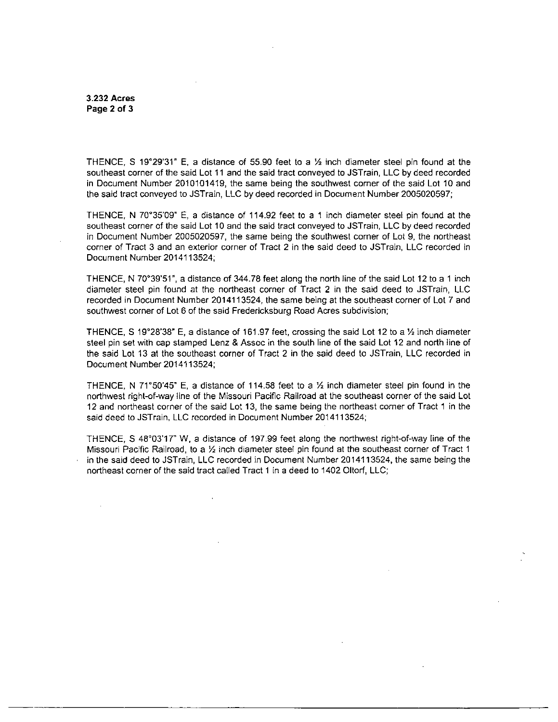3.232 Acres Page 2 of 3

THENCE, S 19°29'31" E, a distance of 55.90 feet to a  $\frac{1}{2}$  inch diameter steel pin found at the southeast corner of the said Lot 11 and the said tract conveyed to JSTrain, LLC by deed recorded in Document Number 2010101419, the same being the southwest corner of the said Lot 10 and the said tract conveyed to JSTrain, LLC by deed recorded in Document Number 2005020597;

THENCE, N 70°35'09'' E, a distance of 114.92 feet to a 1 inch diameter steel pin found at the southeast corner of the said Lot 10 and the said tract conveyed to JSTrain, LLC by deed recorded in Document Number 2005020597, the same being the southwest corner of Lot 9, the northeast corner of Tract 3 and an exterior corner of Tract 2 in the said deed to JSTrain, LLC recorded in Document Number 2014113524;

THENCE, N 70\*39'5r, a distance of 344.78 feet along the north line of the said Lot 12 to a 1 inch diameter steel pin found at the northeast corner of Tract 2 in the said deed to JSTrain, LLC recorded in Document Number 2014113524, the same being at the southeast corner of Lot 7 and southwest corner of Lot 6 of the said Fredericksburg Road Acres subdivision;

THENCE, S 19°28'38" E, a distance of 161.97 feet, crossing the said Lot 12 to a  $\frac{1}{2}$  inch diameter steel pin set with cap stamped Lenz & Assoc in the south line of the said Lot 12 and north line of the said Lot 13 at the southeast corner of Tract 2 in the said deed to JSTrain, LLC recorded in Document Number 2014113524;

THENCE, N 71°50'45" E, a distance of 114.58 feet to a  $\frac{1}{2}$  inch diameter steel pin found in the northwest right-of-way line of the Missouri Pacific Railroad at the southeast corner of the said Lot 12 and northeast corner of the said Lot 13, the same being the northeast corner of Tract 1 in the said deed to JSTrain, LLC recorded in Document Number 2014113524;

THENCE, S 48°03'17" W, a distance of 197.99 feet along the northwest right-of-way line of the Missouri Pacific Railroad, to a  $\frac{1}{2}$  inch diameter steel pin found at the southeast corner of Tract 1 in the said deed to JSTrain, LLC recorded in Document Number 2014113524, the same being the northeast corner of the said tract called Tract 1 in a deed to 1402 Oltorf, LLC;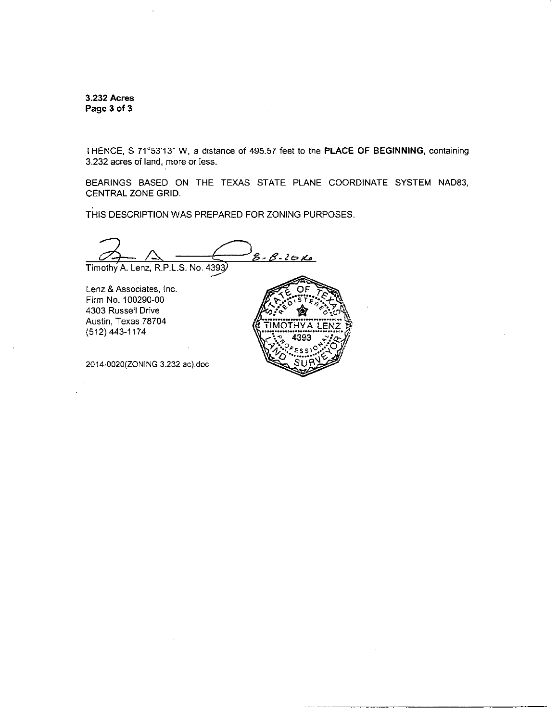**3.232 Acres Page 3 of 3** 

THENCE, S 71°53'13" W, a distance of 495.57 feet to the PLACE OF BEGINNING, containing 3.232 acres of land, more or less.

BEARINGS BASED ON THE TEXAS STATE PLANE COORDINATE SYSTEM NAD83, CENTRAL ZONE GRID.

THIS DESCRIPTION WAS PREPARED FOR ZONING PURPOSES.

 $8 - 8 - 20k$ Timothy A. Lenz, R.P.L.S. No. 4393

Lenz & Associates, Inc. Firm No. 100290-00 4303 Russell Drive Austin, Texas 78704 (512) 443-1174

2014-0020(ZONING 3.232 ac).doc

**OF**  TIMOTHYA.LENZ D  $ESS\cup_{i}A$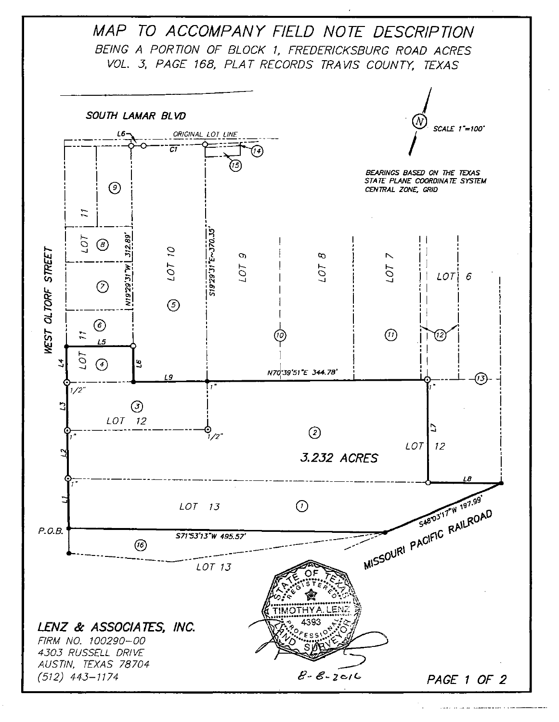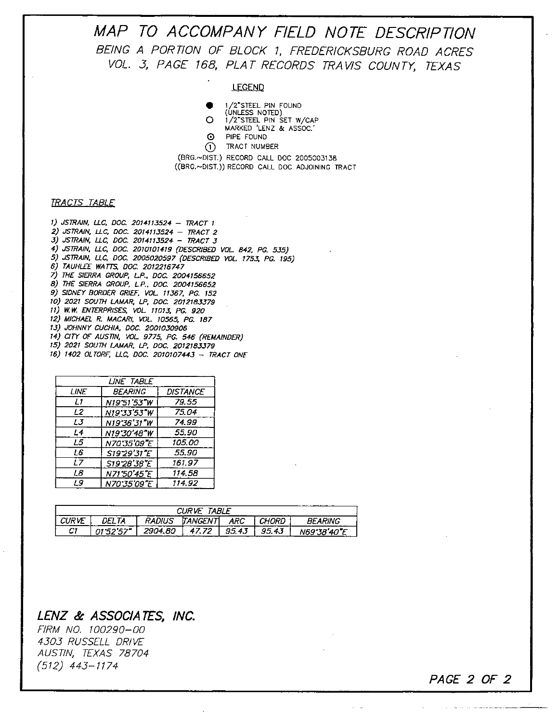**MAP TO ACCOMPANY FIELD NOTE DESCRIPTION**  BEING A PORTION OF BLOCK 1, FREDERICKSBURG ROAD ACRES VOL. 3, PAGE 168, PLAT RECORDS TRAVIS COUNTY, TEXAS

#### LEGEND

• 1 /2'STEEL PIN FOUND

(UNLESS NOTED) O 1/2'STEEL PIN SET W/CAP

MARKED 'LENZ & ASSOC.

- 0 PIPE FOUND
- © TRACT NUMBER

(BRG.~DIST.) RECORD CALL DOC 2005003138 ((BRG.~DIST.)) RECORD CALL DOC ADJOINING TRACT

### TRACTS TABLE

1) JSTRAIN. LLC. DOC 2014113524 - TRACT 1 2) JSTRAIN. Lie, DOC. 2014113524 - TRACT 2 3) JSTRAIN, LLC. DOC 2014113524 - TRACT 3 4) JSTRAIN. LLC. DOC. 2010101419 (DESCRIBED VOL 842. PG. 535) 5) JSTRAIN, LLC, DOC. 2005020597 (DESCRIBED VOL. 1753, PG. 195) 6) TAUHLEE WATTS. DOC. 2012216747 7) THE SIERRA GROUP, LP.. DOC. 2004156652 8) THE SIERRA GROUP, LP.. DOC. 2004156652 9) SIDNEY BORDER GRIEF. VOL 11367. PG. 152 10) 2021 SOUTH LAMAR, LP. DOC. 2012183379 11) W.V\f. ENTERPRISES. VOL 11013. PG. 920 12) MICHAEL R. MACARI, VOL. 10565, PG. 187 13) JOHNNY CUCHIA, DOC. 2001030906 14) CITY OF AUSTIN. VOL 9775. PG. 546 (REMAINDER) 15) 2021 SOUTH LAMAR. LP. DOC. 2012183379 16) 1402 OLTORF. LLC. DOC. 2010107443 - TRACT ONE

| LINE TABLE  |                |                 |  |  |
|-------------|----------------|-----------------|--|--|
| <b>LINE</b> | <b>BEARING</b> | <b>DISTANCE</b> |  |  |
| L1          | N19'51'53"W    | 79.55           |  |  |
| L2          | N19'33'53"W    | 75.04           |  |  |
| L3          | N1936'31"W     | 74.99           |  |  |
| L4          | N19'30'48"W    | 55.90           |  |  |
| L5.         | N70'35'09"E    | 105.00          |  |  |
| L6          | S19'29'31"E    | 55.90           |  |  |
| L7          | S19'28'38"E    | 161.97          |  |  |
| L8          | N71'50'45"E    | 114.58          |  |  |
| L9          | N70'35'09"E    | 114.92          |  |  |

| <b>CURVE TABLE</b> |         |               |                 |       |       |                |
|--------------------|---------|---------------|-----------------|-------|-------|----------------|
| I CURVE            | DEI TA  | <b>RADIUS</b> | <b>TANGENTI</b> | ARC   | CHORD | <b>RFARING</b> |
| C1                 | 01.5257 | 2904.80       | 47.72           | 95.43 | 95.43 | N69'38'40"E    |

**PAGE 2 OF 2** 

<u>and a community of the state of the state of the state of the state of the state of the state of the state of the state of the state of the state of the state of the state of the state of the state of the state of the sta</u>

### **LENZ & ASSOCIATES, INC,**

FIRM NO. 100290-00 4303 RUSSELL DRIVE AUSTIN, TEXAS 78704 (512) 443-1174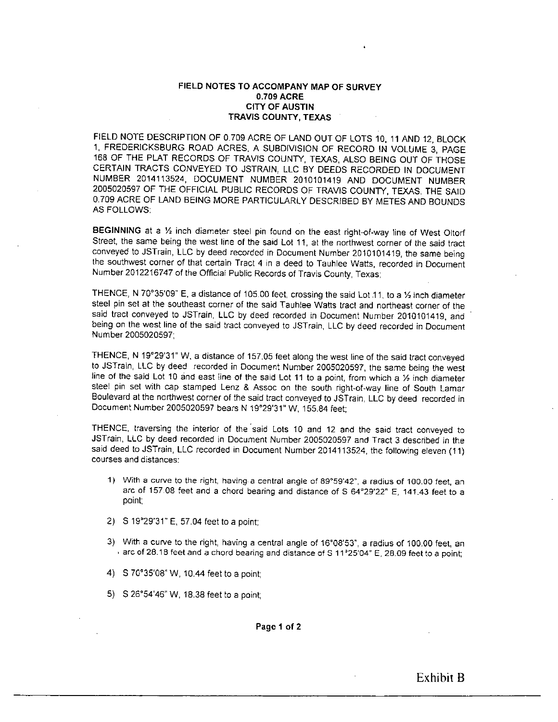### **FIELD NOTES TO ACCOMPANY MAP OF SURVEY 0.709 ACRE CITY OF AUSTIN TRAVIS COUNTY, TEXAS**

FIELD NOTE DESCRIPTION OF 0.709 ACRE OF LAND OUT OF LOTS 10. 11 AND 12 BLOCK 1, FREDERICKSBURG ROAD ACRES, A SUBDIVISION OF RECORD IN VOLUME 3, PAGE 168 OF THE PLAT RECORDS OF TRAVIS COUNTY, TEXAS, ALSO BEING OUT OF THOSE CERTAIN TRACTS CONVEYED TO JSTRAIN, LLC BY DEEDS RECORDED IN DOCUMENT NUMBER 2014113524, DOCUMENT NUMBER 2010101419 AND DOCUMENT NUMBER 2005020597 OF THE OFFICIAL PUBLIC RECORDS OF TRAVIS COUNTY. TEXAS. THE SAID 0,709 ACRE OF LAND BEING MORE PARTICULARLY DESCRIBED BY METES AND BOUNDS AS FOLLOWS:

BEGINNING at a 1/2 inch diameter steel pin found on the east right-of-way line of West Oltorf Street, the same being the west line of the said Lot 11, at the northwest corner of the said tract conveyed to JSTrain, LLC by deed recorded in Document Number 2010101419, the same being the southwest corner of that certain Tract 4 in a deed to Tauhlee Watts, recorded in Document Number 2012216747 of the Official Public Records of Travis County, Texas;

THENCE, N 70°35'09" E, a distance of 105.00 feet, crossing the said Lot 11, to a 1⁄2 inch diameter steel pin set at the southeast corner of the said Tauhlee Watts tract and northeast corner of the said tract conveyed to JSTrain, LLC by deed recorded in Document Number 2010101419. and being on the west line of the said tract conveyed to JSTrain, LLC by deed recorded in Document Number 2005020597;

THENCE, N 19°29'31" W, a distance of 157.05 feet along the west line of the said tract conveyed to JSTrain, LLC by deed recorded in Document Number 2005020597, the same being the west line of the said Lot 10 and east line of the said Lot 11 to a point, from which a  $\frac{1}{2}$  inch diameter steel pin set with cap stamped Lenz & Assoc on the south right-of-way line of South Lamar Boulevard at the northwest corner of the said tract conveyed to JSTrain, LLC by deed recorded in Document Number 2005020597 bears N 19°29'31" W, 155.84 feet;

THENCE, traversing the interior of the said Lots 10 and 12 and the said tract conveyed to JSTrain, LLC by deed recorded in Document Number 2005020597 and Tract 3 described in the said deed to JSTrain, LLC recorded in Document Number 2014113524, the following eleven (11) courses and distances:

- 1) With a curve to the right, having a central angle of 89°59'42", a radius of 100.00 feet, an arc of 157.08 feet and a chord bearing and distance of S 64°29'22" E, 141.43 feet to a point;
- 2) S 19°29'31"E, 57.04 feet to a point;
- 3) With a cun/e to the right, having a central angle of 16°08'53", a radius of 100.00 feet, an  $\cdot$  arc of 28.18 feet and a chord bearing and distance of S 11°25'04" E, 28.09 feet to a point;
- 4) S7G'35'08''W, 10.44 feet to a point;
- 5) S 26°54'46" W, 18.38 feet to a point;

Page 1 of 2

Exhibit B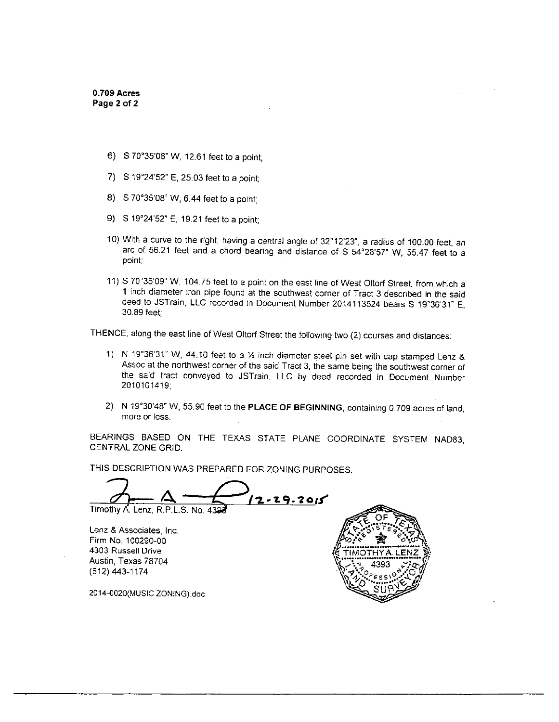- 6) S 70°35'08" W, 12.61 feet to a point;
- 7) S 19°24'52" E, 25.03 feet to a point;
- 8) S 70°35'08" W, 6.44 feet to a point;
- 9) S 19°24'52" E, 19.21 feet to a point;
- 10) With a curve to the right, having a central angle of 32^12'23", a radius of 100.00 feet, an arc of 56.21 feet and a chord bearing and distance of S 54°28'57" W, 55.47 feet to a point;
- 11) S 70'35'09'' W, 104.75 feet to a point on the east line of West Oltorf Street, from which a 1 inch diameter iron pipe found at the southwest comer of Tract 3 described in the said deed to JSTrain, LLC recorded in Document Number 2014113524 bears S 19°36'31" E, 30,89 feet;

THENCE, along the east line of West Oltorf Street the following two (2) courses and distances;

- 1) N 19°36'31" W, 44.10 feet to a  $\frac{1}{2}$  inch diameter steel pin set with cap stamped Lenz & Assoc at the northwest corner of the said Tract 3. the same being the southwest corner of the said tract conveyed to JSTrain, LLC by deed recorded in Document Number 2010101419;
- 2) N 19°30'48" W, 55.90 feet to the PLACE OF BEGINNING, containing 0.709 acres of land, more or less.

BEARINGS BASED ON THE TEXAS STATE PLANE COORDINATE SYSTEM NAD83 CENTRAL ZONE GRID.

THIS DESCRIPTION WAS PREPARED FOR ZONING PURPOSES.

 $12 - 29.2015$ Timothy A. Lenz, R.P.L.S. No. 4

Lenz & Associates, Inc. Firm No. 100290-00 4303 Russell Drive Austin, Texas 78704 (512) 443-1174

2014-0020{MUSIC 20NiNG).doc

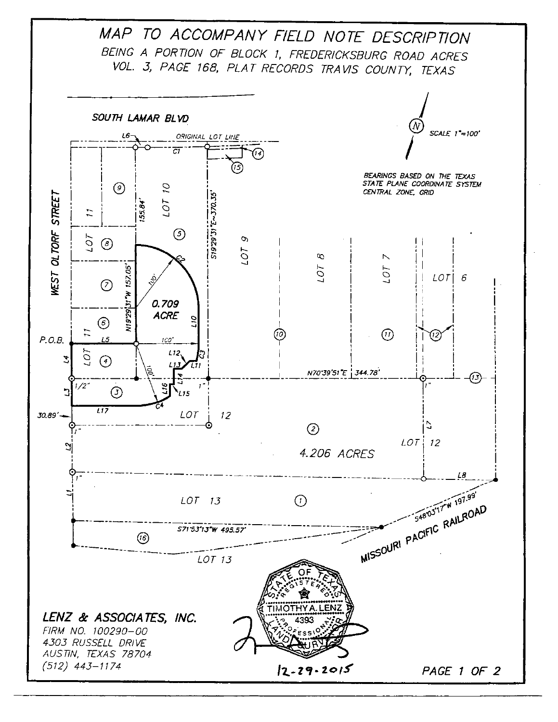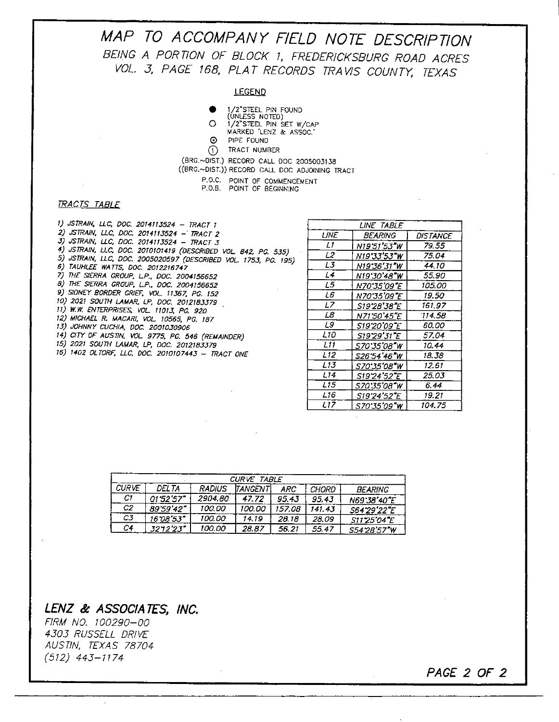**MAP TO ACCOMPANY FIELD NOTE DESCRIPTION**  BEING A PORTION OF BLOCK 1, FREDERICKSBURG ROAD ACRES VOL. 3, PAGE 168, PLAT RECORDS TRAVIS COUNTY, TEXAS

#### LEGEND

- О l/2'STtEL PIN FOUND
- (UNLESS NOTED)  $\Omega$ 
	- 1/2"STEEL PIN SET W/CAP MARKED 'LENZ & ASSOC.'<br>PIPE FOUND
	- PIPE FOUND  $\odot$
- TRACT NUMBER
- U IRACI NUMBER<br>(BRG.~DIST.) RECORD CALL DOC 2005003138 ((BRG.-DIST.)) RECORD CALL DOC ADJOINING TRACT
	- P.O.C. POINT OF COMMENCEMENT
	- P.O.B. POINT OF BEGINNING

#### TRACTS TABLE

| 1) JSTRAIN, LLC, DOC. 2014113524 – TRACT 1                      |
|-----------------------------------------------------------------|
| 2) JSTRAIN, LLC, DOC. 2014113524 - TRACT 2                      |
| 3) JSTRAIN, LLC, DOC. 2014113524 - TRACT 3                      |
| 4) JSTRAIN, LLC, DOC. 2010101419 (DESCRIBED VOL. 842, PC. 535)  |
| 5) JSTRAIN, LLC, DOC. 2005020597 (DESCRIBED VOL. 1753, PG. 195) |
| 6) TAUHLEE WATTS, DOC. 2012216747                               |
| 7) THE SIERRA GROUP, L.P., DOC. 2004156652                      |
| 8) THE SIERRA GROUP, L.P., DOC. 2004156652                      |
| 9) SIDNEY BORDER GRIEF, VOL. 11367, PG. 152                     |
| 10) 2021 SOUTH LAMAR, LP, DOC. 2012183379                       |
| 11) W.W. ENTERPRISES, VOL. 11013, PG. 920                       |
| 12) MICHAEL R. MACARI, VOL. 10565, PG. 187                      |
| 13) JOHNNY CUCHIA, DOC. 2001030906                              |
| 14) CITY OF AUSTIN, VOL. 9775, PG. 546 (REMAINDER)              |
| 15) 2021 SOUTH LAMAR, LP. DOC. 2012183379                       |
| 16) 1402 OLTORF, LLC, DOC. 2010107443 — TRACT ONE               |
|                                                                 |
|                                                                 |

| LINE TABLE      |                           |                 |  |  |
|-----------------|---------------------------|-----------------|--|--|
| UNE             | <i>BEARING</i>            | <b>DISTANCE</b> |  |  |
| Lt              | N19'51'53"W               | 79.55           |  |  |
| 12              | N19°33′53″W               | 75.04           |  |  |
| L3              | N19 36'31"W               | 44.10           |  |  |
| L4              | N19'30'48 <b>"</b> W      | 55.90           |  |  |
| L5              | N70'35'09"E               | 105.00          |  |  |
| L6              | <i>N70 35'09"E</i>        | 19.50           |  |  |
| L7              | S19'28'38"E               | 161.97          |  |  |
| LΒ              | N71'50'45"E               | 114.58          |  |  |
| L9              | <i><b>S19'20'09'E</b></i> | 60.00           |  |  |
| L10             | S19'29'31"E               | 57.04           |  |  |
| L11             | <i>S70"35"08"W</i>        | 10.44           |  |  |
| L <sub>12</sub> | 526°54′46″W               | 18.38           |  |  |
| L13             | S70°35'08°W               | 12.61           |  |  |
| L14             | S19'24'52'E               | 25.03           |  |  |
| L15             | <i>S70°35′08″W</i>        | 6.44            |  |  |
| L16             | S19'24'52"E               | 19.21           |  |  |
| L17             | S70*35'09"W               | 104.75          |  |  |

 $\sim$ 

**PAGE 2 OF 2** 

| CURVE TABLE    |           |               |                |        |              |                |
|----------------|-----------|---------------|----------------|--------|--------------|----------------|
| <b>CURVE</b>   | DEL TA    | <b>RADIUS</b> | <b>TANGENT</b> | ARC.   | <b>CHORD</b> | <b>BEARING</b> |
| C1             | 01'52'57" | 2904.80       | 47.72          | 95.43  | 95.43        | N69.38'40"E    |
| C2             | 89.59'42" | 100.00        | 100.00         | 157.08 | 141.43       | S64 29'22"E    |
| C <sub>3</sub> | 16'08'53  | 100.00        | 14.19          | 28.18  | 28.09        | S1125'04"E     |
| C4             | 3212'23   | 100.00        | 28.87          | 56.21  | 55.47        | S54'28'57"W    |

# LENZ & ASSOCIATES, INC.

FIRM NO. 100290-00 4505 RUSSELL DRIVE AUSTIN, TEXAS 78704 (512) 445-1174